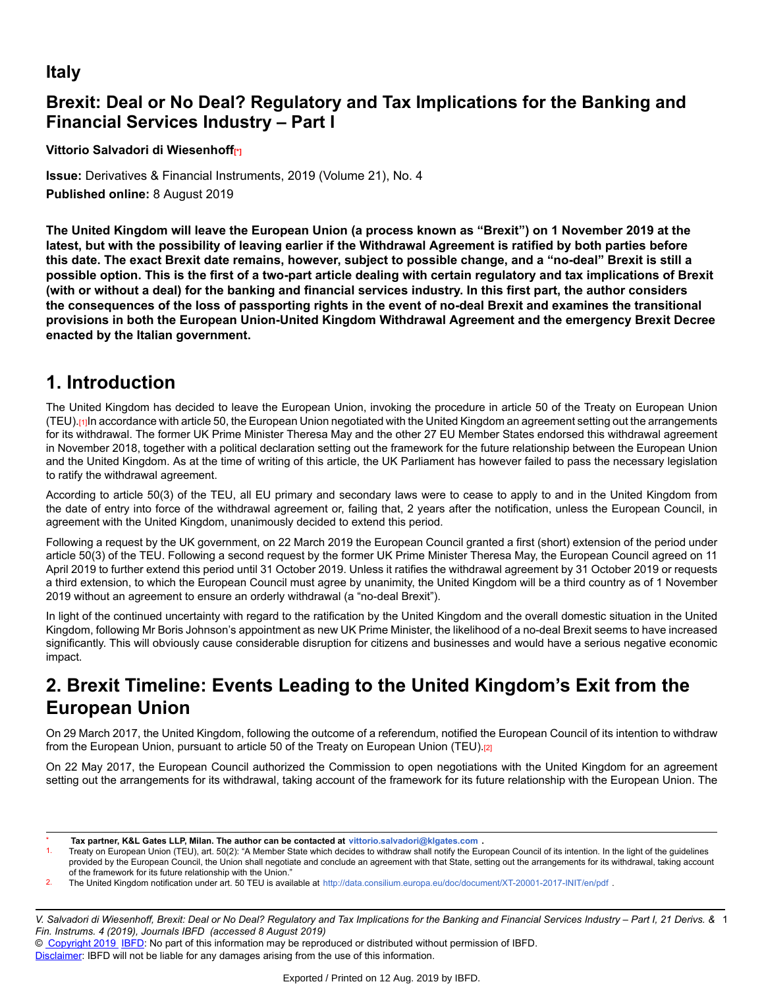## **Italy**

# **Brexit: Deal or No Deal? Regulatory and Tax Implications for the Banking and Financial Services Industry – Part I**

**Vittorio Salvadori di Wiesenhoff[\*]**

**Issue:** Derivatives & Financial Instruments, 2019 (Volume 21), No. 4 **Published online:** 8 August 2019

**The United Kingdom will leave the European Union (a process known as "Brexit") on 1 November 2019 at the** latest, but with the possibility of leaving earlier if the Withdrawal Agreement is ratified by both parties before this date. The exact Brexit date remains, however, subject to possible change, and a "no-deal" Brexit is still a **possible option. This is the first of a two-part article dealing with certain regulatory and tax implications of Brexit** (with or without a deal) for the banking and financial services industry. In this first part, the author considers **the consequences of the loss of passporting rights in the event of no-deal Brexit and examines the transitional provisions in both the European Union-United Kingdom Withdrawal Agreement and the emergency Brexit Decree enacted by the Italian government.**

# **1. Introduction**

The United Kingdom has decided to leave the European Union, invoking the procedure in article 50 of the Treaty on European Union (TEU).[1]In accordance with article 50, the European Union negotiated with the United Kingdom an agreement setting out the arrangements for its withdrawal. The former UK Prime Minister Theresa May and the other 27 EU Member States endorsed this withdrawal agreement in November 2018, together with a political declaration setting out the framework for the future relationship between the European Union and the United Kingdom. As at the time of writing of this article, the UK Parliament has however failed to pass the necessary legislation to ratify the withdrawal agreement.

According to article 50(3) of the TEU, all EU primary and secondary laws were to cease to apply to and in the United Kingdom from the date of entry into force of the withdrawal agreement or, failing that, 2 years after the notification, unless the European Council, in agreement with the United Kingdom, unanimously decided to extend this period.

Following a request by the UK government, on 22 March 2019 the European Council granted a first (short) extension of the period under article 50(3) of the TEU. Following a second request by the former UK Prime Minister Theresa May, the European Council agreed on 11 April 2019 to further extend this period until 31 October 2019. Unless it ratifies the withdrawal agreement by 31 October 2019 or requests a third extension, to which the European Council must agree by unanimity, the United Kingdom will be a third country as of 1 November 2019 without an agreement to ensure an orderly withdrawal (a "no-deal Brexit").

In light of the continued uncertainty with regard to the ratification by the United Kingdom and the overall domestic situation in the United Kingdom, following Mr Boris Johnson's appointment as new UK Prime Minister, the likelihood of a no-deal Brexit seems to have increased significantly. This will obviously cause considerable disruption for citizens and businesses and would have a serious negative economic impact.

# **2. Brexit Timeline: Events Leading to the United Kingdom's Exit from the European Union**

On 29 March 2017, the United Kingdom, following the outcome of a referendum, notified the European Council of its intention to withdraw from the European Union, pursuant to article 50 of the Treaty on European Union (TEU).[2]

On 22 May 2017, the European Council authorized the Commission to open negotiations with the United Kingdom for an agreement setting out the arrangements for its withdrawal, taking account of the framework for its future relationship with the European Union. The

V. Salvadori di Wiesenhoff, Brexit: Deal or No Deal? Regulatory and Tax Implications for the Banking and Financial Services Industry – Part I, 21 Derivs. & 1 *Fin. Instrums. 4 (2019), Journals IBFD (accessed 8 August 2019)*

© [Copyright 2019](http://www.ibfd.org/Copyright-IBFD) [IBFD:](http://www.ibfd.org) No part of this information may be reproduced or distributed without permission of IBFD.

<sup>\*</sup> **Tax partner, K&L Gates LLP, Milan. The author can be contacted at <vittorio.salvadori@klgates.com> .**

Treaty on European Union (TEU), art. 50(2): "A Member State which decides to withdraw shall notify the European Council of its intention. In the light of the guidelines provided by the European Council, the Union shall negotiate and conclude an agreement with that State, setting out the arrangements for its withdrawal, taking account of the framework for its future relationship with the Union."

<sup>2.</sup> The United Kingdom notification under art. 50 TEU is available at [http://data.consilium.europa.eu/doc/document/XT-20001-2017-INIT/en/pd](http://data.consilium.europa.eu/doc/document/XT-20001-2017-INIT/en/pdf)f.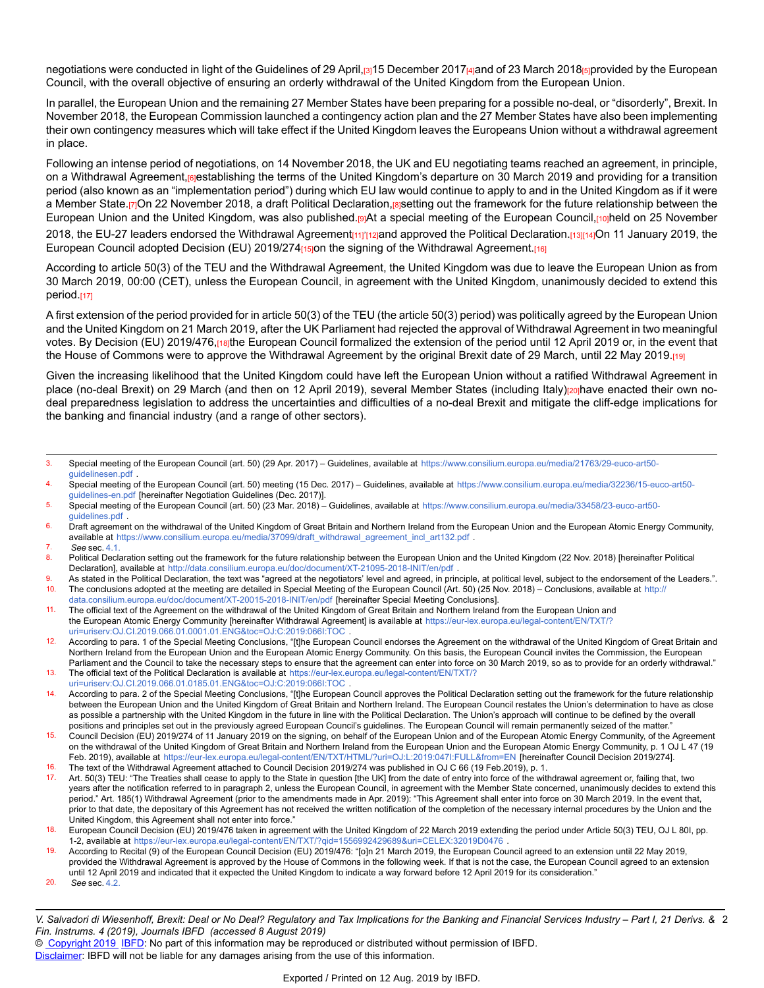negotiations were conducted in light of the Guidelines of 29 April, [3] 15 December 2017[4] and of 23 March 2018[5] provided by the European Council, with the overall objective of ensuring an orderly withdrawal of the United Kingdom from the European Union.

In parallel, the European Union and the remaining 27 Member States have been preparing for a possible no-deal, or "disorderly", Brexit. In November 2018, the European Commission launched a contingency action plan and the 27 Member States have also been implementing their own contingency measures which will take effect if the United Kingdom leaves the Europeans Union without a withdrawal agreement in place.

Following an intense period of negotiations, on 14 November 2018, the UK and EU negotiating teams reached an agreement, in principle, on a Withdrawal Agreement, rejestablishing the terms of the United Kingdom's departure on 30 March 2019 and providing for a transition period (also known as an "implementation period") during which EU law would continue to apply to and in the United Kingdom as if it were a Member State.[7]On 22 November 2018, a draft Political Declaration,[8]setting out the framework for the future relationship between the European Union and the United Kingdom, was also published.[9]At a special meeting of the European Council,[10]held on 25 November 2018, the EU-27 leaders endorsed the Withdrawal Agreement<sub>[11]</sub>'<sub>[12]</sub>and approved the Political Declaration.<sub>[13][14]</sub>On 11 January 2019, the

European Council adopted Decision (EU) 2019/274<sub>[15]</sub>on the signing of the Withdrawal Agreement.[16]

According to article 50(3) of the TEU and the Withdrawal Agreement, the United Kingdom was due to leave the European Union as from 30 March 2019, 00:00 (CET), unless the European Council, in agreement with the United Kingdom, unanimously decided to extend this period.[17]

A first extension of the period provided for in article 50(3) of the TEU (the article 50(3) period) was politically agreed by the European Union and the United Kingdom on 21 March 2019, after the UK Parliament had rejected the approval of Withdrawal Agreement in two meaningful votes. By Decision (EU) 2019/476, rathe European Council formalized the extension of the period until 12 April 2019 or, in the event that the House of Commons were to approve the Withdrawal Agreement by the original Brexit date of 29 March, until 22 May 2019.[19]

Given the increasing likelihood that the United Kingdom could have left the European Union without a ratified Withdrawal Agreement in place (no-deal Brexit) on 29 March (and then on 12 April 2019), several Member States (including Italy)<sub>[20]</sub>have enacted their own nodeal preparedness legislation to address the uncertainties and difficulties of a no-deal Brexit and mitigate the cliff-edge implications for the banking and financial industry (and a range of other sectors).

- 4. Special meeting of the European Council (art. 50) meeting (15 Dec. 2017) Guidelines, available at [https://www.consilium.europa.eu/media/32236/15-euco-art50](https://www.consilium.europa.eu/media/32236/15-euco-art50-guidelines-en.pdf) [guidelines-en.pdf](https://www.consilium.europa.eu/media/32236/15-euco-art50-guidelines-en.pdf) [hereinafter Negotiation Guidelines (Dec. 2017)].
- 5. Special meeting of the European Council (art. 50) (23 Mar. 2018) Guidelines, available at [https://www.consilium.europa.eu/media/33458/23-euco-art50](https://www.consilium.europa.eu/media/33458/23-euco-art50-guidelines.pdf) [guidelines.pdf](https://www.consilium.europa.eu/media/33458/23-euco-art50-guidelines.pdf) .
- 6. Draft agreement on the withdrawal of the United Kingdom of Great Britain and Northern Ireland from the European Union and the European Atomic Energy Community, available at [https://www.consilium.europa.eu/media/37099/draft\\_withdrawal\\_agreement\\_incl\\_art132.pd](https://www.consilium.europa.eu/media/37099/draft_withdrawal_agreement_incl_art132.pdf)f .
- 7. *See* sec. [4.1.](https://research.ibfd.org/#/doc?url=/linkresolver/static/dfi_2019_04_it_1_s_4_1#dfi_2019_04_it_1_s_4_1)

9. As stated in the Political Declaration, the text was "agreed at the negotiators' level and agreed, in principle, at political level, subject to the endorsement of the Leaders.".<br>10. The conclusions adopted at the meeti The conclusions adopted at the meeting are detailed in Special Meeting of the European Council (Art. 50) (25 Nov. 2018) – Conclusions, available at [http:/](http://data.consilium.europa.eu/doc/document/XT-20015-2018-INIT/en/pdf)/

[data.consilium.europa.eu/doc/document/XT-20015-2018-INIT/en/pdf](http://data.consilium.europa.eu/doc/document/XT-20015-2018-INIT/en/pdf) [hereinafter Special Meeting Conclusions].

- 11. The official text of the Agreement on the withdrawal of the United Kingdom of Great Britain and Northern Ireland from the European Union and the European Atomic Energy Community [hereinafter Withdrawal Agreement] is available at [https://eur-lex.europa.eu/legal-content/EN/TXT/?](https://eur-lex.europa.eu/legal-content/EN/TXT/?uri=uriserv:OJ.CI.2019.066.01.0001.01.ENG&toc=OJ:C:2019:066I:TOC) [uri=uriserv:OJ.CI.2019.066.01.0001.01.ENG&toc=OJ:C:2019:066I:TOC](https://eur-lex.europa.eu/legal-content/EN/TXT/?uri=uriserv:OJ.CI.2019.066.01.0001.01.ENG&toc=OJ:C:2019:066I:TOC) .
- 12. According to para. 1 of the Special Meeting Conclusions, "[t]he European Council endorses the Agreement on the withdrawal of the United Kingdom of Great Britain and Northern Ireland from the European Union and the European Atomic Energy Community. On this basis, the European Council invites the Commission, the European Parliament and the Council to take the necessary steps to ensure that the agreement can enter into force on 30 March 2019, so as to provide for an orderly withdrawal."
- 13. The official text of the Political Declaration is available at [https://eur-lex.europa.eu/legal-content/EN/TXT/?](https://eur-lex.europa.eu/legal-content/EN/TXT/?uri=uriserv:OJ.CI.2019.066.01.0185.01.ENG&toc=OJ:C:2019:066I:TOC)
- [uri=uriserv:OJ.CI.2019.066.01.0185.01.ENG&toc=OJ:C:2019:066I:TOC](https://eur-lex.europa.eu/legal-content/EN/TXT/?uri=uriserv:OJ.CI.2019.066.01.0185.01.ENG&toc=OJ:C:2019:066I:TOC) . 14. According to para. 2 of the Special Meeting Conclusions, "[t]he European Council approves the Political Declaration setting out the framework for the future relationship between the European Union and the United Kingdom of Great Britain and Northern Ireland. The European Council restates the Union's determination to have as close as possible a partnership with the United Kingdom in the future in line with the Political Declaration. The Union's approach will continue to be defined by the overall
- positions and principles set out in the previously agreed European Council's guidelines. The European Council will remain permanently seized of the matter." 15. Council Decision (EU) 2019/274 of 11 January 2019 on the signing, on behalf of the European Union and of the European Atomic Energy Community, of the Agreement on the withdrawal of the United Kingdom of Great Britain and Northern Ireland from the European Union and the European Atomic Energy Community, p. 1 OJ L 47 (19 Feb. 2019), available at <https://eur-lex.europa.eu/legal-content/EN/TXT/HTML/?uri=OJ:L:2019:047I:FULL&from=EN> [hereinafter Council Decision 2019/274]. 16. The text of the Withdrawal Agreement attached to Council Decision 2019/274 was published in OJ C 66 (19 Feb.2019), p. 1.
- 17. Art. 50(3) TEU: "The Treaties shall cease to apply to the State in question [the UK] from the date of entry into force of the withdrawal agreement or, failing that, two years after the notification referred to in paragraph 2, unless the European Council, in agreement with the Member State concerned, unanimously decides to extend this period." Art. 185(1) Withdrawal Agreement (prior to the amendments made in Apr. 2019): "This Agreement shall enter into force on 30 March 2019. In the event that, prior to that date, the depositary of this Agreement has not received the written notification of the completion of the necessary internal procedures by the Union and the United Kingdom, this Agreement shall not enter into force."
- 18. European Council Decision (EU) 2019/476 taken in agreement with the United Kingdom of 22 March 2019 extending the period under Article 50(3) TEU, OJ L 80I, pp. 1-2, available at <https://eur-lex.europa.eu/legal-content/EN/TXT/?qid=1556992429689&uri=CELEX:32019D0476> .
- 19. According to Recital (9) of the European Council Decision (EU) 2019/476: "[o]n 21 March 2019, the European Council agreed to an extension until 22 May 2019,
- provided the Withdrawal Agreement is approved by the House of Commons in the following week. If that is not the case, the European Council agreed to an extension until 12 April 2019 and indicated that it expected the United Kingdom to indicate a way forward before 12 April 2019 for its consideration."
- 20. *See* sec. [4.2.](https://research.ibfd.org/#/doc?url=/linkresolver/static/dfi_2019_04_it_1_s_4_2#dfi_2019_04_it_1_s_4_2)

V. Salvadori di Wiesenhoff, Brexit: Deal or No Deal? Regulatory and Tax Implications for the Banking and Financial Services Industry – Part I, 21 Derivs. & 2 *Fin. Instrums. 4 (2019), Journals IBFD (accessed 8 August 2019)*

© [Copyright 2019](http://www.ibfd.org/Copyright-IBFD) [IBFD:](http://www.ibfd.org) No part of this information may be reproduced or distributed without permission of IBFD.

<sup>3.</sup> Special meeting of the European Council (art. 50) (29 Apr. 2017) – Guidelines, available at [https://www.consilium.europa.eu/media/21763/29-euco-art50](https://www.consilium.europa.eu/media/21763/29-euco-art50-guidelinesen.pdf) [guidelinesen.pdf](https://www.consilium.europa.eu/media/21763/29-euco-art50-guidelinesen.pdf)

<sup>8.</sup> Political Declaration setting out the framework for the future relationship between the European Union and the United Kingdom (22 Nov. 2018) [hereinafter Political Declaration], available at [http://data.consilium.europa.eu/doc/document/XT-21095-2018-INIT/en/pd](http://data.consilium.europa.eu/doc/document/XT-21095-2018-INIT/en/pdf)f .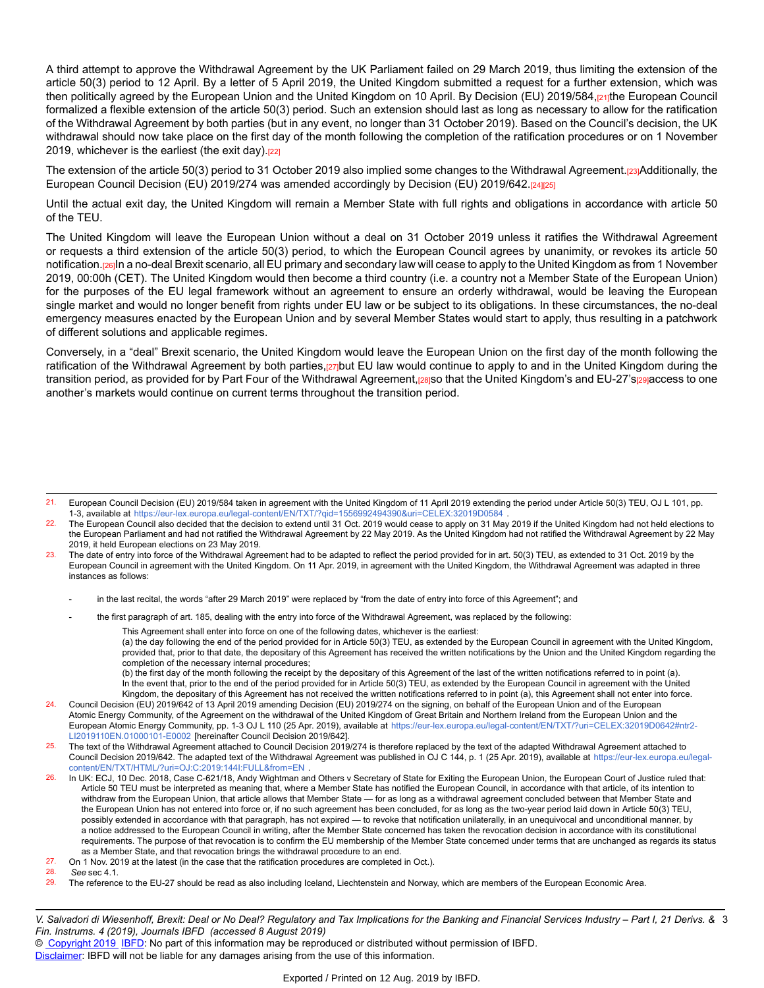A third attempt to approve the Withdrawal Agreement by the UK Parliament failed on 29 March 2019, thus limiting the extension of the article 50(3) period to 12 April. By a letter of 5 April 2019, the United Kingdom submitted a request for a further extension, which was then politically agreed by the European Union and the United Kingdom on 10 April. By Decision (EU) 2019/584,[21]the European Council formalized a flexible extension of the article 50(3) period. Such an extension should last as long as necessary to allow for the ratification of the Withdrawal Agreement by both parties (but in any event, no longer than 31 October 2019). Based on the Council's decision, the UK withdrawal should now take place on the first day of the month following the completion of the ratification procedures or on 1 November 2019, whichever is the earliest (the exit day).[22]

The extension of the article 50(3) period to 31 October 2019 also implied some changes to the Withdrawal Agreement.[23]Additionally, the European Council Decision (EU) 2019/274 was amended accordingly by Decision (EU) 2019/642.[24][25]

Until the actual exit day, the United Kingdom will remain a Member State with full rights and obligations in accordance with article 50 of the TEU.

The United Kingdom will leave the European Union without a deal on 31 October 2019 unless it ratifies the Withdrawal Agreement or requests a third extension of the article 50(3) period, to which the European Council agrees by unanimity, or revokes its article 50 notification.[26]In a no-deal Brexit scenario, all EU primary and secondary law will cease to apply to the United Kingdom as from 1 November 2019, 00:00h (CET). The United Kingdom would then become a third country (i.e. a country not a Member State of the European Union) for the purposes of the EU legal framework without an agreement to ensure an orderly withdrawal, would be leaving the European single market and would no longer benefit from rights under EU law or be subject to its obligations. In these circumstances, the no-deal emergency measures enacted by the European Union and by several Member States would start to apply, thus resulting in a patchwork of different solutions and applicable regimes.

Conversely, in a "deal" Brexit scenario, the United Kingdom would leave the European Union on the first day of the month following the ratification of the Withdrawal Agreement by both parties,[27]but EU law would continue to apply to and in the United Kingdom during the transition period, as provided for by Part Four of the Withdrawal Agreement,<sup>[28]</sup>so that the United Kingdom's and EU-27's<sup>[29]</sup>access to one another's markets would continue on current terms throughout the transition period.

- in the last recital, the words "after 29 March 2019" were replaced by "from the date of entry into force of this Agreement"; and
	- the first paragraph of art. 185, dealing with the entry into force of the Withdrawal Agreement, was replaced by the following:

This Agreement shall enter into force on one of the following dates, whichever is the earliest:

(a) the day following the end of the period provided for in Article 50(3) TEU, as extended by the European Council in agreement with the United Kingdom, provided that, prior to that date, the depositary of this Agreement has received the written notifications by the Union and the United Kingdom regarding the completion of the necessary internal procedures;

(b) the first day of the month following the receipt by the depositary of this Agreement of the last of the written notifications referred to in point (a). In the event that, prior to the end of the period provided for in Article 50(3) TEU, as extended by the European Council in agreement with the United Kingdom, the depositary of this Agreement has not received the written notifications referred to in point (a), this Agreement shall not enter into force.

<sup>21.</sup> European Council Decision (EU) 2019/584 taken in agreement with the United Kingdom of 11 April 2019 extending the period under Article 50(3) TEU, OJ L 101, pp. 1-3, available at <https://eur-lex.europa.eu/legal-content/EN/TXT/?qid=1556992494390&uri=CELEX:32019D0584> .

 $22.$  The European Council also decided that the decision to extend until 31 Oct. 2019 would cease to apply on 31 May 2019 if the United Kingdom had not held elections to the European Parliament and had not ratified the Withdrawal Agreement by 22 May 2019. As the United Kingdom had not ratified the Withdrawal Agreement by 22 May 2019, it held European elections on 23 May 2019.

<sup>23.</sup> The date of entry into force of the Withdrawal Agreement had to be adapted to reflect the period provided for in art. 50(3) TEU, as extended to 31 Oct. 2019 by the European Council in agreement with the United Kingdom. On 11 Apr. 2019, in agreement with the United Kingdom, the Withdrawal Agreement was adapted in three instances as follows:

<sup>24.</sup> Council Decision (EU) 2019/642 of 13 April 2019 amending Decision (EU) 2019/274 on the signing, on behalf of the European Union and of the European Atomic Energy Community, of the Agreement on the withdrawal of the United Kingdom of Great Britain and Northern Ireland from the European Union and the European Atomic Energy Community, pp. 1-3 OJ L 110 (25 Apr. 2019), available at [https://eur-lex.europa.eu/legal-content/EN/TXT/?uri=CELEX:32019D0642#ntr2](https://eur-lex.europa.eu/legal-content/EN/TXT/?uri=CELEX:32019D0642#ntr2-LI2019110EN.01000101-E0002)- [LI2019110EN.01000101-E0002](https://eur-lex.europa.eu/legal-content/EN/TXT/?uri=CELEX:32019D0642#ntr2-LI2019110EN.01000101-E0002) [hereinafter Council Decision 2019/642].

<sup>25.</sup> The text of the Withdrawal Agreement attached to Council Decision 2019/274 is therefore replaced by the text of the adapted Withdrawal Agreement attached to Council Decision 2019/642. The adapted text of the Withdrawal Agreement was published in OJ C 144, p. 1 (25 Apr. 2019), available at [https://eur-lex.europa.eu/legal](https://eur-lex.europa.eu/legal-content/EN/TXT/HTML/?uri=OJ:C:2019:144I:FULL&from=EN)[content/EN/TXT/HTML/?uri=OJ:C:2019:144I:FULL&from=EN](https://eur-lex.europa.eu/legal-content/EN/TXT/HTML/?uri=OJ:C:2019:144I:FULL&from=EN) .

<sup>26.</sup> In UK: ECJ, 10 Dec. 2018, Case C-621/18, Andy Wightman and Others v Secretary of State for Exiting the European Union, the European Court of Justice ruled that: Article 50 TEU must be interpreted as meaning that, where a Member State has notified the European Council, in accordance with that article, of its intention to withdraw from the European Union, that article allows that Member State — for as long as a withdrawal agreement concluded between that Member State and the European Union has not entered into force or, if no such agreement has been concluded, for as long as the two-year period laid down in Article 50(3) TEU, possibly extended in accordance with that paragraph, has not expired — to revoke that notification unilaterally, in an unequivocal and unconditional manner, by a notice addressed to the European Council in writing, after the Member State concerned has taken the revocation decision in accordance with its constitutional requirements. The purpose of that revocation is to confirm the EU membership of the Member State concerned under terms that are unchanged as regards its status as a Member State, and that revocation brings the withdrawal procedure to an end.

<sup>27.</sup> On 1 Nov. 2019 at the latest (in the case that the ratification procedures are completed in Oct.).

<sup>28.</sup> *See* sec 4.1.

<sup>29.</sup> The reference to the EU-27 should be read as also including Iceland, Liechtenstein and Norway, which are members of the European Economic Area.

V. Salvadori di Wiesenhoff, Brexit: Deal or No Deal? Regulatory and Tax Implications for the Banking and Financial Services Industry – Part I, 21 Derivs. & 3 *Fin. Instrums. 4 (2019), Journals IBFD (accessed 8 August 2019)*

<sup>©</sup> [Copyright 2019](http://www.ibfd.org/Copyright-IBFD) [IBFD:](http://www.ibfd.org) No part of this information may be reproduced or distributed without permission of IBFD.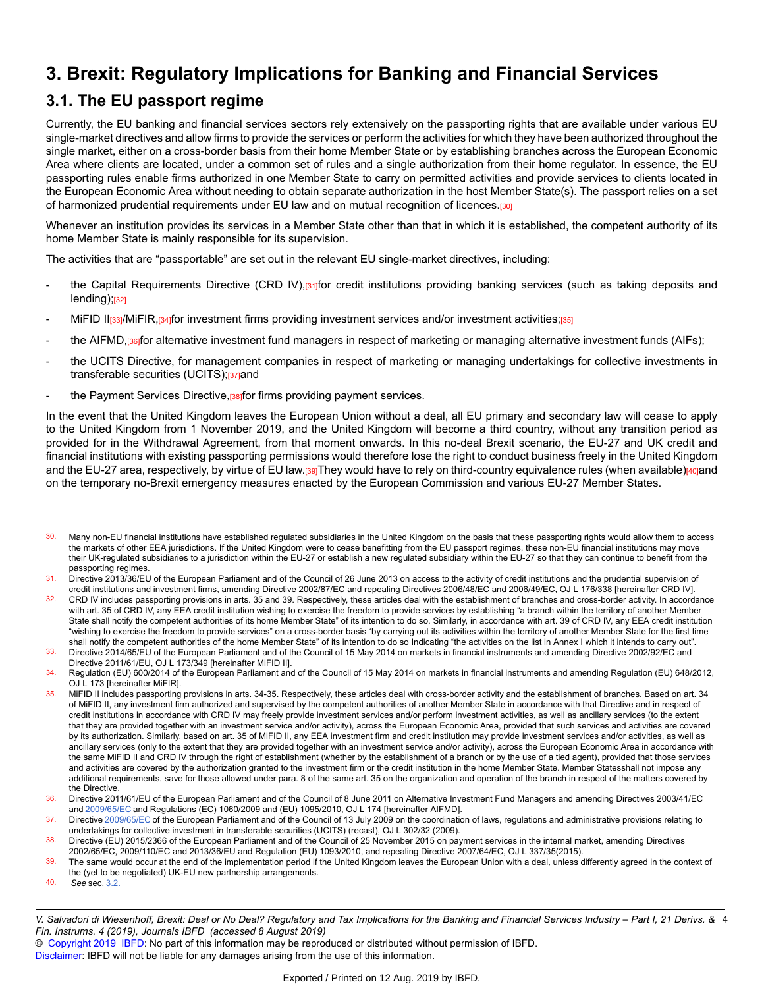# **3. Brexit: Regulatory Implications for Banking and Financial Services**

## **3.1. The EU passport regime**

Currently, the EU banking and financial services sectors rely extensively on the passporting rights that are available under various EU single-market directives and allow firms to provide the services or perform the activities for which they have been authorized throughout the single market, either on a cross-border basis from their home Member State or by establishing branches across the European Economic Area where clients are located, under a common set of rules and a single authorization from their home regulator. In essence, the EU passporting rules enable firms authorized in one Member State to carry on permitted activities and provide services to clients located in the European Economic Area without needing to obtain separate authorization in the host Member State(s). The passport relies on a set of harmonized prudential requirements under EU law and on mutual recognition of licences.[30]

Whenever an institution provides its services in a Member State other than that in which it is established, the competent authority of its home Member State is mainly responsible for its supervision.

The activities that are "passportable" are set out in the relevant EU single-market directives, including:

- the Capital Requirements Directive (CRD IV),<sup>[31</sup>]for credit institutions providing banking services (such as taking deposits and  $lending)$ ; $l32$ ]
- MiFID II<sub>[33]</sub>/MiFIR,<sub>[34]</sub>for investment firms providing investment services and/or investment activities;[35]
- the AIFMD,[36]for alternative investment fund managers in respect of marketing or managing alternative investment funds (AIFs);
- the UCITS Directive, for management companies in respect of marketing or managing undertakings for collective investments in transferable securities (UCITS);<sup>[37]</sup>and
- the Payment Services Directive,  $38$  for firms providing payment services.

In the event that the United Kingdom leaves the European Union without a deal, all EU primary and secondary law will cease to apply to the United Kingdom from 1 November 2019, and the United Kingdom will become a third country, without any transition period as provided for in the Withdrawal Agreement, from that moment onwards. In this no-deal Brexit scenario, the EU-27 and UK credit and financial institutions with existing passporting permissions would therefore lose the right to conduct business freely in the United Kingdom and the EU-27 area, respectively, by virtue of EU law.[39]They would have to rely on third-country equivalence rules (when available)[40]and on the temporary no-Brexit emergency measures enacted by the European Commission and various EU-27 Member States.

40. *See* sec. [3.2.](https://research.ibfd.org/#/doc?url=/linkresolver/static/dfi_2019_04_it_1_s_3_2#dfi_2019_04_it_1_s_3_2)

<sup>30.</sup> Many non-EU financial institutions have established regulated subsidiaries in the United Kingdom on the basis that these passporting rights would allow them to access the markets of other EEA jurisdictions. If the United Kingdom were to cease benefitting from the EU passport regimes, these non-EU financial institutions may move their UK-regulated subsidiaries to a jurisdiction within the EU-27 or establish a new regulated subsidiary within the EU-27 so that they can continue to benefit from the passporting regimes.

<sup>31.</sup> Directive 2013/36/EU of the European Parliament and of the Council of 26 June 2013 on access to the activity of credit institutions and the prudential supervision of credit institutions and investment firms, amending Directive 2002/87/EC and repealing Directives 2006/48/EC and 2006/49/EC, OJ L 176/338 [hereinafter CRD IV].

<sup>32.</sup> CRD IV includes passporting provisions in arts. 35 and 39. Respectively, these articles deal with the establishment of branches and cross-border activity. In accordance with art. 35 of CRD IV, any EEA credit institution wishing to exercise the freedom to provide services by establishing "a branch within the territory of another Member State shall notify the competent authorities of its home Member State" of its intention to do so. Similarly, in accordance with art. 39 of CRD IV, any EEA credit institution "wishing to exercise the freedom to provide services" on a cross-border basis "by carrying out its activities within the territory of another Member State for the first time shall notify the competent authorities of the home Member State" of its intention to do so Indicating "the activities on the list in Annex I which it intends to carry out".

<sup>33.</sup> Directive 2014/65/EU of the European Parliament and of the Council of 15 May 2014 on markets in financial instruments and amending Directive 2002/92/EC and Directive 2011/61/EU, OJ L 173/349 [hereinafter MiFID II].

<sup>34.</sup> Regulation (EU) 600/2014 of the European Parliament and of the Council of 15 May 2014 on markets in financial instruments and amending Regulation (EU) 648/2012, OJ L 173 [hereinafter MiFIR].

<sup>35.</sup> MiFID II includes passporting provisions in arts. 34-35. Respectively, these articles deal with cross-border activity and the establishment of branches. Based on art. 34 of MiFID II, any investment firm authorized and supervised by the competent authorities of another Member State in accordance with that Directive and in respect of credit institutions in accordance with CRD IV may freely provide investment services and/or perform investment activities, as well as ancillary services (to the extent that they are provided together with an investment service and/or activity), across the European Economic Area, provided that such services and activities are covered by its authorization. Similarly, based on art. 35 of MiFID II, any EEA investment firm and credit institution may provide investment services and/or activities, as well as ancillary services (only to the extent that they are provided together with an investment service and/or activity), across the European Economic Area in accordance with the same MiFID II and CRD IV through the right of establishment (whether by the establishment of a branch or by the use of a tied agent), provided that those services and activities are covered by the authorization granted to the investment firm or the credit institution in the home Member State. Member Statesshall not impose any additional requirements, save for those allowed under para. 8 of the same art. 35 on the organization and operation of the branch in respect of the matters covered by the Directive.

<sup>36.</sup> Directive 2011/61/EU of the European Parliament and of the Council of 8 June 2011 on Alternative Investment Fund Managers and amending Directives 2003/41/EC and [2009/65/EC](https://research.ibfd.org/#/doc?url=/linkresolver/static/eulaw_com_2009_65#eulaw_com_2009_65) and Regulations (EC) 1060/2009 and (EU) 1095/2010, OJ L 174 [hereinafter AIFMD].

<sup>37.</sup> Directive [2009/65/EC](https://research.ibfd.org/#/doc?url=/linkresolver/static/eulaw_com_2009_65#eulaw_com_2009_65) of the European Parliament and of the Council of 13 July 2009 on the coordination of laws, regulations and administrative provisions relating to undertakings for collective investment in transferable securities (UCITS) (recast), OJ L 302/32 (2009).

<sup>38.</sup> Directive (EU) 2015/2366 of the European Parliament and of the Council of 25 November 2015 on payment services in the internal market, amending Directives 2002/65/EC, 2009/110/EC and 2013/36/EU and Regulation (EU) 1093/2010, and repealing Directive 2007/64/EC, OJ L 337/35(2015).

<sup>39.</sup> The same would occur at the end of the implementation period if the United Kingdom leaves the European Union with a deal, unless differently agreed in the context of the (yet to be negotiated) UK-EU new partnership arrangements.

V. Salvadori di Wiesenhoff, Brexit: Deal or No Deal? Regulatory and Tax Implications for the Banking and Financial Services Industry – Part I, 21 Derivs. & 4 *Fin. Instrums. 4 (2019), Journals IBFD (accessed 8 August 2019)*

<sup>©</sup> [Copyright 2019](http://www.ibfd.org/Copyright-IBFD) [IBFD:](http://www.ibfd.org) No part of this information may be reproduced or distributed without permission of IBFD.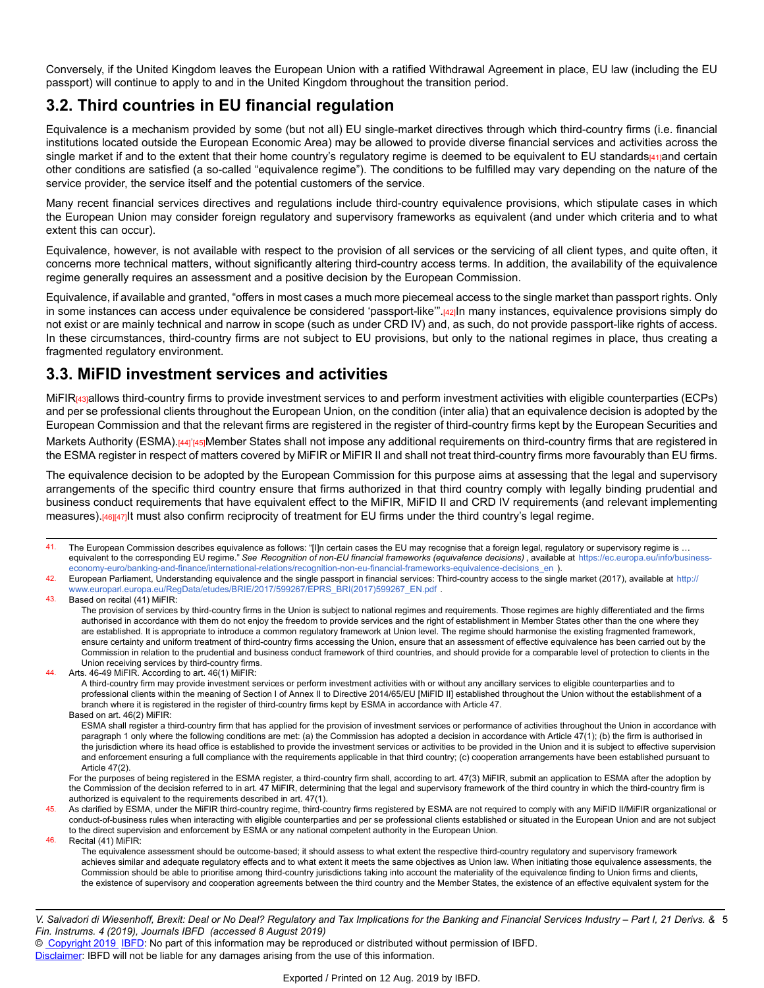Conversely, if the United Kingdom leaves the European Union with a ratified Withdrawal Agreement in place, EU law (including the EU passport) will continue to apply to and in the United Kingdom throughout the transition period.

## **3.2. Third countries in EU financial regulation**

Equivalence is a mechanism provided by some (but not all) EU single-market directives through which third-country firms (i.e. financial institutions located outside the European Economic Area) may be allowed to provide diverse financial services and activities across the single market if and to the extent that their home country's regulatory regime is deemed to be equivalent to EU standards[41]and certain other conditions are satisfied (a so-called "equivalence regime"). The conditions to be fulfilled may vary depending on the nature of the service provider, the service itself and the potential customers of the service.

Many recent financial services directives and regulations include third-country equivalence provisions, which stipulate cases in which the European Union may consider foreign regulatory and supervisory frameworks as equivalent (and under which criteria and to what extent this can occur).

Equivalence, however, is not available with respect to the provision of all services or the servicing of all client types, and quite often, it concerns more technical matters, without significantly altering third-country access terms. In addition, the availability of the equivalence regime generally requires an assessment and a positive decision by the European Commission.

Equivalence, if available and granted, "offers in most cases a much more piecemeal access to the single market than passport rights. Only in some instances can access under equivalence be considered 'passport-like'".[42]In many instances, equivalence provisions simply do not exist or are mainly technical and narrow in scope (such as under CRD IV) and, as such, do not provide passport-like rights of access. In these circumstances, third-country firms are not subject to EU provisions, but only to the national regimes in place, thus creating a fragmented regulatory environment.

## **3.3. MiFID investment services and activities**

MiFIR<sub>[43]</sub>allows third-country firms to provide investment services to and perform investment activities with eligible counterparties (ECPs) and per se professional clients throughout the European Union, on the condition (inter alia) that an equivalence decision is adopted by the European Commission and that the relevant firms are registered in the register of third-country firms kept by the European Securities and

Markets Authority (ESMA).<sup>[44]'</sup>[45]Member States shall not impose any additional requirements on third-country firms that are registered in the ESMA register in respect of matters covered by MiFIR or MiFIR II and shall not treat third-country firms more favourably than EU firms.

The equivalence decision to be adopted by the European Commission for this purpose aims at assessing that the legal and supervisory arrangements of the specific third country ensure that firms authorized in that third country comply with legally binding prudential and business conduct requirements that have equivalent effect to the MiFIR, MiFID II and CRD IV requirements (and relevant implementing measures).<sup>[46][47]</sup>It must also confirm reciprocity of treatment for EU firms under the third country's legal regime.

<sup>41.</sup> The European Commission describes equivalence as follows: "[I]n certain cases the EU may recognise that a foreign legal, regulatory or supervisory regime is ... equivalent to the corresponding EU regime." *See Recognition of non-EU financial frameworks (equivalence decisions)* , available at [https://ec.europa.eu/info/business](https://ec.europa.eu/info/business-economy-euro/banking-and-finance/international-relations/recognition-non-eu-financial-frameworks-equivalence-decisions_en)[economy-euro/banking-and-finance/international-relations/recognition-non-eu-financial-frameworks-equivalence-decisions\\_en](https://ec.europa.eu/info/business-economy-euro/banking-and-finance/international-relations/recognition-non-eu-financial-frameworks-equivalence-decisions_en) ).

<sup>42.</sup> European Parliament, Understanding equivalence and the single passport in financial services: Third-country access to the single market (2017), available at [http:/](http://www.europarl.europa.eu/RegData/etudes/BRIE/2017/599267/EPRS_BRI(2017)599267_EN.pdf)/ [www.europarl.europa.eu/RegData/etudes/BRIE/2017/599267/EPRS\\_BRI\(2017\)599267\\_EN.pdf](http://www.europarl.europa.eu/RegData/etudes/BRIE/2017/599267/EPRS_BRI(2017)599267_EN.pdf) .

<sup>43.</sup> Based on recital (41) MiFIR:

The provision of services by third-country firms in the Union is subject to national regimes and requirements. Those regimes are highly differentiated and the firms authorised in accordance with them do not enjoy the freedom to provide services and the right of establishment in Member States other than the one where they are established. It is appropriate to introduce a common regulatory framework at Union level. The regime should harmonise the existing fragmented framework, ensure certainty and uniform treatment of third-country firms accessing the Union, ensure that an assessment of effective equivalence has been carried out by the Commission in relation to the prudential and business conduct framework of third countries, and should provide for a comparable level of protection to clients in the Union receiving services by third-country firms.

<sup>44.</sup> Arts. 46-49 MiFIR. According to art. 46(1) MiFIR:

A third-country firm may provide investment services or perform investment activities with or without any ancillary services to eligible counterparties and to professional clients within the meaning of Section I of Annex II to Directive 2014/65/EU [MiFID II] established throughout the Union without the establishment of a branch where it is registered in the register of third-country firms kept by ESMA in accordance with Article 47.

Based on art. 46(2) MiFIR:

ESMA shall register a third-country firm that has applied for the provision of investment services or performance of activities throughout the Union in accordance with paragraph 1 only where the following conditions are met: (a) the Commission has adopted a decision in accordance with Article 47(1); (b) the firm is authorised in the jurisdiction where its head office is established to provide the investment services or activities to be provided in the Union and it is subject to effective supervision and enforcement ensuring a full compliance with the requirements applicable in that third country; (c) cooperation arrangements have been established pursuant to Article 47(2).

For the purposes of being registered in the ESMA register, a third-country firm shall, according to art. 47(3) MiFIR, submit an application to ESMA after the adoption by the Commission of the decision referred to in art. 47 MiFIR, determining that the legal and supervisory framework of the third country in which the third-country firm is authorized is equivalent to the requirements described in art. 47(1).

<sup>45.</sup> As clarified by ESMA, under the MiFIR third-country regime, third-country firms registered by ESMA are not required to comply with any MiFID II/MiFIR organizational or conduct-of-business rules when interacting with eligible counterparties and per se professional clients established or situated in the European Union and are not subject to the direct supervision and enforcement by ESMA or any national competent authority in the European Union.

<sup>46.</sup> Recital (41) MiFIR:

The equivalence assessment should be outcome-based; it should assess to what extent the respective third-country regulatory and supervisory framework achieves similar and adequate regulatory effects and to what extent it meets the same objectives as Union law. When initiating those equivalence assessments, the Commission should be able to prioritise among third-country jurisdictions taking into account the materiality of the equivalence finding to Union firms and clients, the existence of supervisory and cooperation agreements between the third country and the Member States, the existence of an effective equivalent system for the

V. Salvadori di Wiesenhoff, Brexit: Deal or No Deal? Regulatory and Tax Implications for the Banking and Financial Services Industry – Part I, 21 Derivs. & 5 *Fin. Instrums. 4 (2019), Journals IBFD (accessed 8 August 2019)*

<sup>©</sup> [Copyright 2019](http://www.ibfd.org/Copyright-IBFD) [IBFD:](http://www.ibfd.org) No part of this information may be reproduced or distributed without permission of IBFD.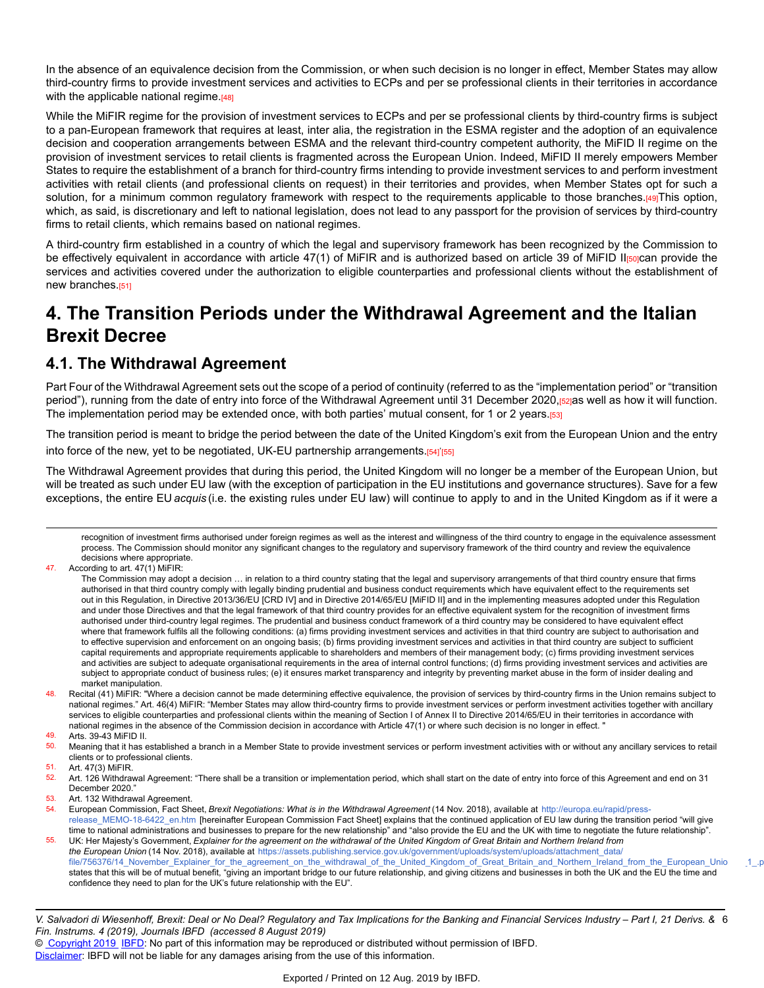In the absence of an equivalence decision from the Commission, or when such decision is no longer in effect, Member States may allow third-country firms to provide investment services and activities to ECPs and per se professional clients in their territories in accordance with the applicable national regime.[48]

While the MiFIR regime for the provision of investment services to ECPs and per se professional clients by third-country firms is subject to a pan-European framework that requires at least, inter alia, the registration in the ESMA register and the adoption of an equivalence decision and cooperation arrangements between ESMA and the relevant third-country competent authority, the MiFID II regime on the provision of investment services to retail clients is fragmented across the European Union. Indeed, MiFID II merely empowers Member States to require the establishment of a branch for third-country firms intending to provide investment services to and perform investment activities with retail clients (and professional clients on request) in their territories and provides, when Member States opt for such a solution, for a minimum common regulatory framework with respect to the requirements applicable to those branches.[49]This option, which, as said, is discretionary and left to national legislation, does not lead to any passport for the provision of services by third-country firms to retail clients, which remains based on national regimes.

A third-country firm established in a country of which the legal and supervisory framework has been recognized by the Commission to be effectively equivalent in accordance with article 47(1) of MiFIR and is authorized based on article 39 of MiFID II[50]can provide the services and activities covered under the authorization to eligible counterparties and professional clients without the establishment of new branches.<sup>[51]</sup>

# **4. The Transition Periods under the Withdrawal Agreement and the Italian Brexit Decree**

## **4.1. The Withdrawal Agreement**

Part Four of the Withdrawal Agreement sets out the scope of a period of continuity (referred to as the "implementation period" or "transition period"), running from the date of entry into force of the Withdrawal Agreement until 31 December 2020, [52]as well as how it will function. The implementation period may be extended once, with both parties' mutual consent, for 1 or 2 years.[53]

The transition period is meant to bridge the period between the date of the United Kingdom's exit from the European Union and the entry into force of the new, yet to be negotiated, UK-EU partnership arrangements.<sub>[54]</sub>'<sub>[55]</sub>

The Withdrawal Agreement provides that during this period, the United Kingdom will no longer be a member of the European Union, but will be treated as such under EU law (with the exception of participation in the EU institutions and governance structures). Save for a few exceptions, the entire EU *acquis* (i.e. the existing rules under EU law) will continue to apply to and in the United Kingdom as if it were a

recognition of investment firms authorised under foreign regimes as well as the interest and willingness of the third country to engage in the equivalence assessment process. The Commission should monitor any significant changes to the regulatory and supervisory framework of the third country and review the equivalence decisions where appropriate.

Meaning that it has established a branch in a Member State to provide investment services or perform investment activities with or without any ancillary services to retail clients or to professional clients.

Art. 47(3) MiFIR.

52. Art. 126 Withdrawal Agreement: "There shall be a transition or implementation period, which shall start on the date of entry into force of this Agreement and end on 31 December 2020."

53. Art. 132 Withdrawal Agreement.

54. European Commission, Fact Sheet, *Brexit Negotiations: What is in the Withdrawal Agreement* (14 Nov. 2018), available at [http://europa.eu/rapid/press](http://europa.eu/rapid/press-release_MEMO-18-6422_en.htm)release MEMO-18-6422 en.htm [hereinafter European Commission Fact Sheet] explains that the continued application of EU law during the transition period "will give time to national administrations and businesses to prepare for the new relationship" and "also provide the EU and the UK with time to negotiate the future relationship".

55. UK: Her Majesty's Government, *Explainer for the agreement on the withdrawal of the United Kingdom of Great Britain and Northern Ireland from the European Union* (14 Nov. 2018), available at [https://assets.publishing.service.gov.uk/government/uploads/system/uploads/attachment\\_data](https://assets.publishing.service.gov.uk/government/uploads/system/uploads/attachment_data/file/756376/14_November_Explainer_for_the_agreement_on_the_withdrawal_of_the_United_Kingdom_of_Great_Britain_and_Northern_Ireland_from_the_European_Union___1_.pdf)/ file/756376/14\_November\_Explainer\_for\_the\_agreement\_on\_the\_withdrawal\_of\_the\_United\_Kingdom\_of\_Great\_Britain\_and\_Northern\_Ireland\_from\_the\_European\_Unio 1\_p states that this will be of mutual benefit, "giving an important bridge to our future relationship, and giving citizens and businesses in both the UK and the EU the time and confidence they need to plan for the UK's future relationship with the EU".

© [Copyright 2019](http://www.ibfd.org/Copyright-IBFD) [IBFD:](http://www.ibfd.org) No part of this information may be reproduced or distributed without permission of IBFD.

<sup>47.</sup> According to art. 47(1) MiFIR:

The Commission may adopt a decision … in relation to a third country stating that the legal and supervisory arrangements of that third country ensure that firms authorised in that third country comply with legally binding prudential and business conduct requirements which have equivalent effect to the requirements set out in this Regulation, in Directive 2013/36/EU [CRD IV] and in Directive 2014/65/EU [MiFID II] and in the implementing measures adopted under this Regulation and under those Directives and that the legal framework of that third country provides for an effective equivalent system for the recognition of investment firms authorised under third-country legal regimes. The prudential and business conduct framework of a third country may be considered to have equivalent effect where that framework fulfils all the following conditions: (a) firms providing investment services and activities in that third country are subject to authorisation and to effective supervision and enforcement on an ongoing basis; (b) firms providing investment services and activities in that third country are subject to sufficient capital requirements and appropriate requirements applicable to shareholders and members of their management body; (c) firms providing investment services and activities are subject to adequate organisational requirements in the area of internal control functions; (d) firms providing investment services and activities are subject to appropriate conduct of business rules; (e) it ensures market transparency and integrity by preventing market abuse in the form of insider dealing and market manipulation.

<sup>48.</sup> Recital (41) MiFIR: "Where a decision cannot be made determining effective equivalence, the provision of services by third-country firms in the Union remains subject to national regimes." Art. 46(4) MiFIR: "Member States may allow third-country firms to provide investment services or perform investment activities together with ancillary services to eligible counterparties and professional clients within the meaning of Section I of Annex II to Directive 2014/65/EU in their territories in accordance with national regimes in the absence of the Commission decision in accordance with Article 47(1) or where such decision is no longer in effect. "

<sup>49.</sup> Arts. 39-43 MiFID II.<br>50 Meaning that it has a

V. Salvadori di Wiesenhoff, Brexit: Deal or No Deal? Regulatory and Tax Implications for the Banking and Financial Services Industry – Part I, 21 Derivs. & 6 *Fin. Instrums. 4 (2019), Journals IBFD (accessed 8 August 2019)*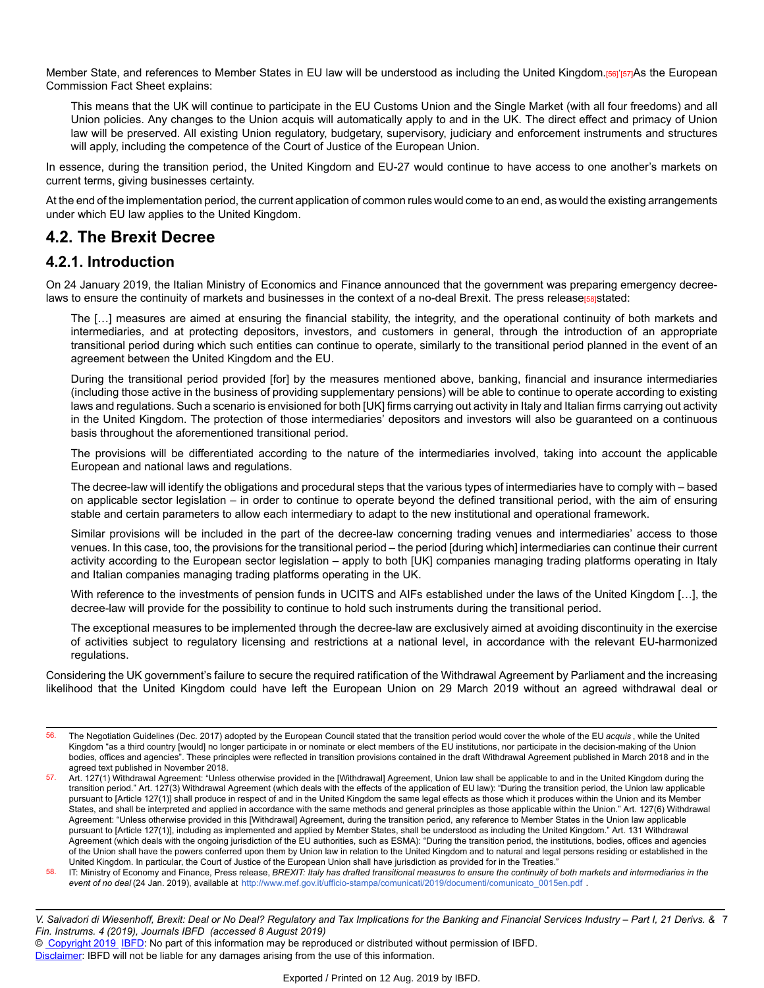Member State, and references to Member States in EU law will be understood as including the United Kingdom.[56]'[57]As the European Commission Fact Sheet explains:

This means that the UK will continue to participate in the EU Customs Union and the Single Market (with all four freedoms) and all Union policies. Any changes to the Union acquis will automatically apply to and in the UK. The direct effect and primacy of Union law will be preserved. All existing Union regulatory, budgetary, supervisory, judiciary and enforcement instruments and structures will apply, including the competence of the Court of Justice of the European Union.

In essence, during the transition period, the United Kingdom and EU-27 would continue to have access to one another's markets on current terms, giving businesses certainty.

At the end of the implementation period, the current application of common rules would come to an end, as would the existing arrangements under which EU law applies to the United Kingdom.

## **4.2. The Brexit Decree**

### **4.2.1. Introduction**

On 24 January 2019, the Italian Ministry of Economics and Finance announced that the government was preparing emergency decreelaws to ensure the continuity of markets and businesses in the context of a no-deal Brexit. The press release<sup>[58]</sup>stated:

The […] measures are aimed at ensuring the financial stability, the integrity, and the operational continuity of both markets and intermediaries, and at protecting depositors, investors, and customers in general, through the introduction of an appropriate transitional period during which such entities can continue to operate, similarly to the transitional period planned in the event of an agreement between the United Kingdom and the EU.

During the transitional period provided [for] by the measures mentioned above, banking, financial and insurance intermediaries (including those active in the business of providing supplementary pensions) will be able to continue to operate according to existing laws and regulations. Such a scenario is envisioned for both [UK] firms carrying out activity in Italy and Italian firms carrying out activity in the United Kingdom. The protection of those intermediaries' depositors and investors will also be guaranteed on a continuous basis throughout the aforementioned transitional period.

The provisions will be differentiated according to the nature of the intermediaries involved, taking into account the applicable European and national laws and regulations.

The decree-law will identify the obligations and procedural steps that the various types of intermediaries have to comply with – based on applicable sector legislation – in order to continue to operate beyond the defined transitional period, with the aim of ensuring stable and certain parameters to allow each intermediary to adapt to the new institutional and operational framework.

Similar provisions will be included in the part of the decree-law concerning trading venues and intermediaries' access to those venues. In this case, too, the provisions for the transitional period – the period [during which] intermediaries can continue their current activity according to the European sector legislation – apply to both [UK] companies managing trading platforms operating in Italy and Italian companies managing trading platforms operating in the UK.

With reference to the investments of pension funds in UCITS and AIFs established under the laws of the United Kingdom […], the decree-law will provide for the possibility to continue to hold such instruments during the transitional period.

The exceptional measures to be implemented through the decree-law are exclusively aimed at avoiding discontinuity in the exercise of activities subject to regulatory licensing and restrictions at a national level, in accordance with the relevant EU-harmonized regulations.

Considering the UK government's failure to secure the required ratification of the Withdrawal Agreement by Parliament and the increasing likelihood that the United Kingdom could have left the European Union on 29 March 2019 without an agreed withdrawal deal or

<sup>56.</sup> The Negotiation Guidelines (Dec. 2017) adopted by the European Council stated that the transition period would cover the whole of the EU *acquis* , while the United Kingdom "as a third country [would] no longer participate in or nominate or elect members of the EU institutions, nor participate in the decision-making of the Union bodies, offices and agencies". These principles were reflected in transition provisions contained in the draft Withdrawal Agreement published in March 2018 and in the agreed text published in November 2018.

<sup>57.</sup> Art. 127(1) Withdrawal Agreement: "Unless otherwise provided in the [Withdrawal] Agreement, Union law shall be applicable to and in the United Kingdom during the transition period." Art. 127(3) Withdrawal Agreement (which deals with the effects of the application of EU law): "During the transition period, the Union law applicable pursuant to [Article 127(1)] shall produce in respect of and in the United Kingdom the same legal effects as those which it produces within the Union and its Member States, and shall be interpreted and applied in accordance with the same methods and general principles as those applicable within the Union." Art. 127(6) Withdrawal Agreement: "Unless otherwise provided in this [Withdrawal] Agreement, during the transition period, any reference to Member States in the Union law applicable pursuant to [Article 127(1)], including as implemented and applied by Member States, shall be understood as including the United Kingdom." Art. 131 Withdrawal Agreement (which deals with the ongoing jurisdiction of the EU authorities, such as ESMA): "During the transition period, the institutions, bodies, offices and agencies of the Union shall have the powers conferred upon them by Union law in relation to the United Kingdom and to natural and legal persons residing or established in the United Kingdom. In particular, the Court of Justice of the European Union shall have jurisdiction as provided for in the Treaties."

<sup>58.</sup> IT: Ministry of Economy and Finance, Press release, BREXIT: Italy has drafted transitional measures to ensure the continuity of both markets and intermediaries in the *event of no deal* (24 Jan. 2019), available at [http://www.mef.gov.it/ufficio-stampa/comunicati/2019/documenti/comunicato\\_0015en.pd](http://www.mef.gov.it/ufficio-stampa/comunicati/2019/documenti/comunicato_0015en.pdf)f .

V. Salvadori di Wiesenhoff, Brexit: Deal or No Deal? Regulatory and Tax Implications for the Banking and Financial Services Industry – Part I, 21 Derivs. & 7 *Fin. Instrums. 4 (2019), Journals IBFD (accessed 8 August 2019)*

<sup>©</sup> [Copyright 2019](http://www.ibfd.org/Copyright-IBFD) [IBFD:](http://www.ibfd.org) No part of this information may be reproduced or distributed without permission of IBFD.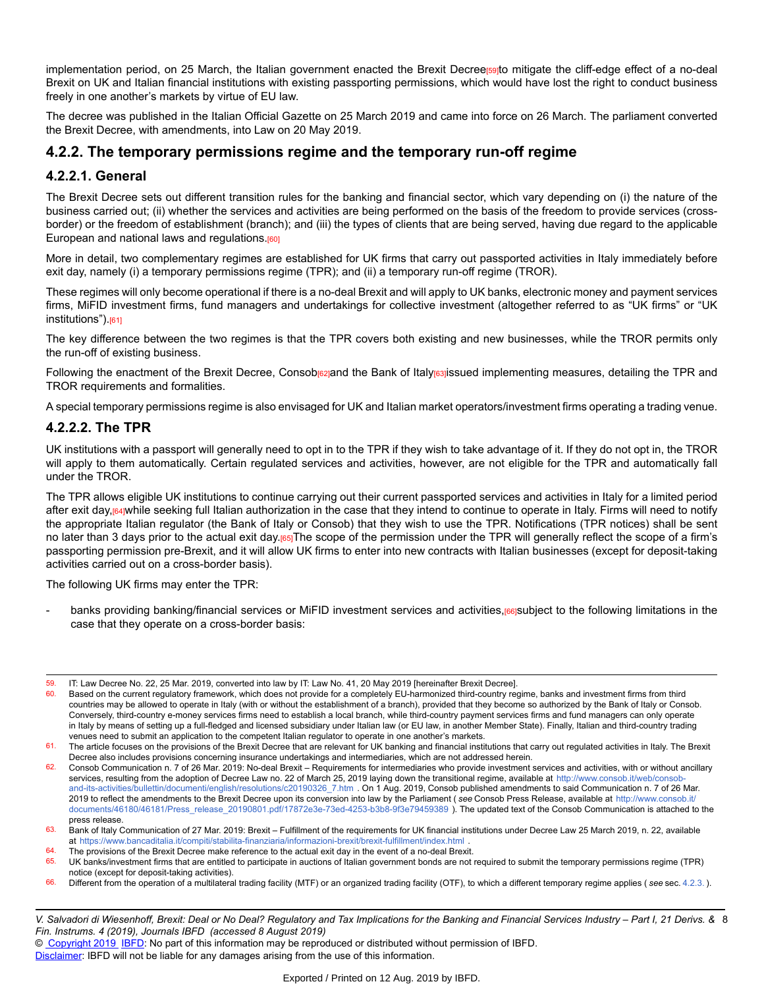implementation period, on 25 March, the Italian government enacted the Brexit Decreers ato mitigate the cliff-edge effect of a no-deal Brexit on UK and Italian financial institutions with existing passporting permissions, which would have lost the right to conduct business freely in one another's markets by virtue of EU law.

The decree was published in the Italian Official Gazette on 25 March 2019 and came into force on 26 March. The parliament converted the Brexit Decree, with amendments, into Law on 20 May 2019.

### **4.2.2. The temporary permissions regime and the temporary run-off regime**

#### **4.2.2.1. General**

The Brexit Decree sets out different transition rules for the banking and financial sector, which vary depending on (i) the nature of the business carried out; (ii) whether the services and activities are being performed on the basis of the freedom to provide services (crossborder) or the freedom of establishment (branch); and (iii) the types of clients that are being served, having due regard to the applicable European and national laws and regulations.<sup>[60]</sup>

More in detail, two complementary regimes are established for UK firms that carry out passported activities in Italy immediately before exit day, namely (i) a temporary permissions regime (TPR); and (ii) a temporary run-off regime (TROR).

These regimes will only become operational if there is a no-deal Brexit and will apply to UK banks, electronic money and payment services firms, MiFID investment firms, fund managers and undertakings for collective investment (altogether referred to as "UK firms" or "UK institutions").<sup>[61]</sup>

The key difference between the two regimes is that the TPR covers both existing and new businesses, while the TROR permits only the run-off of existing business.

Following the enactment of the Brexit Decree, Consob<sub>[62]</sub>and the Bank of Italy<sub>[63]</sub>issued implementing measures, detailing the TPR and TROR requirements and formalities.

A special temporary permissions regime is also envisaged for UK and Italian market operators/investment firms operating a trading venue.

#### **4.2.2.2. The TPR**

UK institutions with a passport will generally need to opt in to the TPR if they wish to take advantage of it. If they do not opt in, the TROR will apply to them automatically. Certain regulated services and activities, however, are not eligible for the TPR and automatically fall under the TROR.

The TPR allows eligible UK institutions to continue carrying out their current passported services and activities in Italy for a limited period after exit day,  $64$ while seeking full Italian authorization in the case that they intend to continue to operate in Italy. Firms will need to notify the appropriate Italian regulator (the Bank of Italy or Consob) that they wish to use the TPR. Notifications (TPR notices) shall be sent no later than 3 days prior to the actual exit day.<sup>[65]</sup>The scope of the permission under the TPR will generally reflect the scope of a firm's passporting permission pre-Brexit, and it will allow UK firms to enter into new contracts with Italian businesses (except for deposit-taking activities carried out on a cross-border basis).

The following UK firms may enter the TPR:

banks providing banking/financial services or MiFID investment services and activities,[66]subject to the following limitations in the case that they operate on a cross-border basis:

 $64.$  The provisions of the Brexit Decree make reference to the actual exit day in the event of a no-deal Brexit.<br> $65.$  UK banks/investment firms that are entitled to participate in auctions of Italian government bonds ar

66. Different from the operation of a multilateral trading facility (MTF) or an organized trading facility (OTF), to which a different temporary regime applies ( *see* sec. [4.2.3.](https://research.ibfd.org/#/doc?url=/linkresolver/static/dfi_2019_04_it_1_s_4_2_3#dfi_2019_04_it_1_s_4_2_3) ).

V. Salvadori di Wiesenhoff, Brexit: Deal or No Deal? Regulatory and Tax Implications for the Banking and Financial Services Industry – Part I, 21 Derivs. & 8 *Fin. Instrums. 4 (2019), Journals IBFD (accessed 8 August 2019)*

© [Copyright 2019](http://www.ibfd.org/Copyright-IBFD) [IBFD:](http://www.ibfd.org) No part of this information may be reproduced or distributed without permission of IBFD.

<sup>59.</sup> IT: Law Decree No. 22, 25 Mar. 2019, converted into law by IT: Law No. 41, 20 May 2019 [hereinafter Brexit Decree].<br>60 Based on the current requisions framework, which does not provide for a completely EU-harmonized t

Based on the current regulatory framework, which does not provide for a completely EU-harmonized third-country regime, banks and investment firms from third countries may be allowed to operate in Italy (with or without the establishment of a branch), provided that they become so authorized by the Bank of Italy or Consob. Conversely, third-country e-money services firms need to establish a local branch, while third-country payment services firms and fund managers can only operate in Italy by means of setting up a full-fledged and licensed subsidiary under Italian law (or EU law, in another Member State). Finally, Italian and third-country trading venues need to submit an application to the competent Italian regulator to operate in one another's markets.

<sup>61.</sup> The article focuses on the provisions of the Brexit Decree that are relevant for UK banking and financial institutions that carry out regulated activities in Italy. The Brexit Decree also includes provisions concerning insurance undertakings and intermediaries, which are not addressed herein.

<sup>62.</sup> Consob Communication n. 7 of 26 Mar. 2019: No-deal Brexit – Requirements for intermediaries who provide investment services and activities, with or without ancillary services, resulting from the adoption of Decree Law no. 22 of March 25, 2019 laying down the transitional regime, available at [http://www.consob.it/web/consob](http://www.consob.it/web/consob-and-its-activities/bullettin/documenti/english/resolutions/c20190326_7.htm)[and-its-activities/bullettin/documenti/english/resolutions/c20190326\\_7.htm](http://www.consob.it/web/consob-and-its-activities/bullettin/documenti/english/resolutions/c20190326_7.htm) . On 1 Aug. 2019, Consob published amendments to said Communication n. 7 of 26 Mar. 2019 to reflect the amendments to the Brexit Decree upon its conversion into law by the Parliament ( *see* Consob Press Release, available at [http://www.consob.it](http://www.consob.it/documents/46180/46181/Press_release_20190801.pdf/17872e3e-73ed-4253-b3b8-9f3e79459389)/ [documents/46180/46181/Press\\_release\\_20190801.pdf/17872e3e-73ed-4253-b3b8-9f3e79459389](http://www.consob.it/documents/46180/46181/Press_release_20190801.pdf/17872e3e-73ed-4253-b3b8-9f3e79459389) ). The updated text of the Consob Communication is attached to the press release.

<sup>63.</sup> Bank of Italy Communication of 27 Mar. 2019: Brexit – Fulfillment of the requirements for UK financial institutions under Decree Law 25 March 2019, n. 22, available at [https://www.bancaditalia.it/compiti/stabilita-finanziaria/informazioni-brexit/brexit-fulfillment/index.htm](https://www.bancaditalia.it/compiti/stabilita-finanziaria/informazioni-brexit/brexit-fulfillment/index.html)l

UK banks/investment firms that are entitled to participate in auctions of Italian government bonds are not required to submit the temporary permissions regime (TPR) notice (except for deposit-taking activities).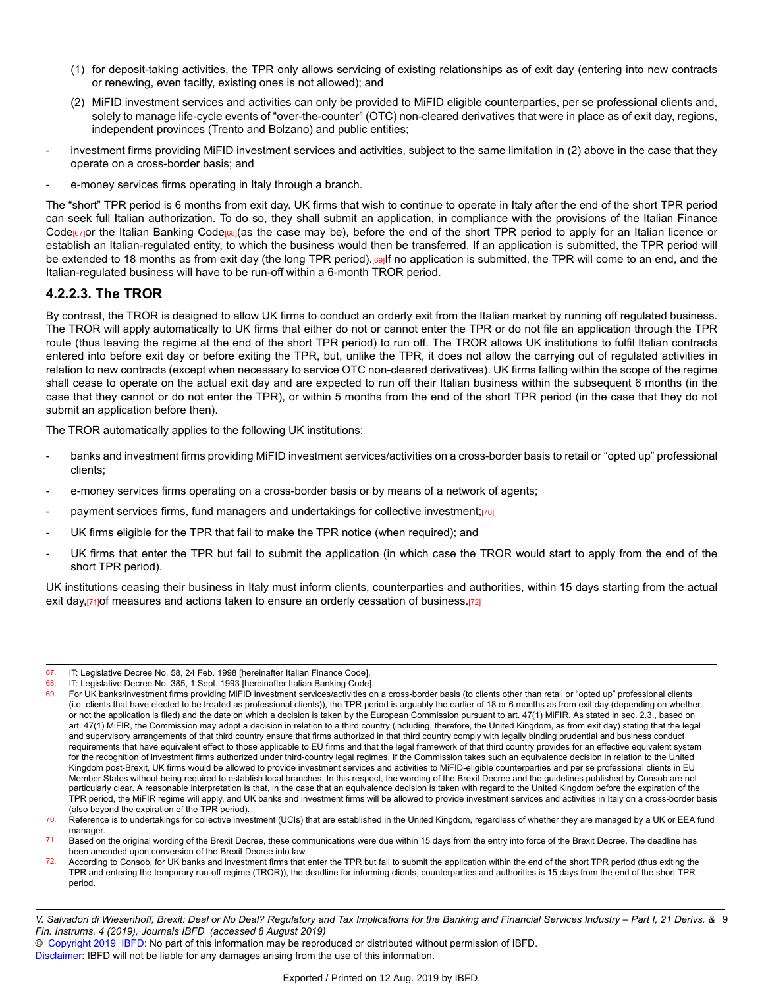- (1) for deposit-taking activities, the TPR only allows servicing of existing relationships as of exit day (entering into new contracts or renewing, even tacitly, existing ones is not allowed); and
- (2) MiFID investment services and activities can only be provided to MiFID eligible counterparties, per se professional clients and, solely to manage life-cycle events of "over-the-counter" (OTC) non-cleared derivatives that were in place as of exit day, regions, independent provinces (Trento and Bolzano) and public entities;
- investment firms providing MiFID investment services and activities, subject to the same limitation in (2) above in the case that they operate on a cross-border basis; and
- e-money services firms operating in Italy through a branch.

The "short" TPR period is 6 months from exit day. UK firms that wish to continue to operate in Italy after the end of the short TPR period can seek full Italian authorization. To do so, they shall submit an application, in compliance with the provisions of the Italian Finance Code<sub>[67]</sub>or the Italian Banking Code<sub>[68]</sub>(as the case may be), before the end of the short TPR period to apply for an Italian licence or establish an Italian-regulated entity, to which the business would then be transferred. If an application is submitted, the TPR period will be extended to 18 months as from exit day (the long TPR period).[69]If no application is submitted, the TPR will come to an end, and the Italian-regulated business will have to be run-off within a 6-month TROR period.

#### **4.2.2.3. The TROR**

By contrast, the TROR is designed to allow UK firms to conduct an orderly exit from the Italian market by running off regulated business. The TROR will apply automatically to UK firms that either do not or cannot enter the TPR or do not file an application through the TPR route (thus leaving the regime at the end of the short TPR period) to run off. The TROR allows UK institutions to fulfil Italian contracts entered into before exit day or before exiting the TPR, but, unlike the TPR, it does not allow the carrying out of regulated activities in relation to new contracts (except when necessary to service OTC non-cleared derivatives). UK firms falling within the scope of the regime shall cease to operate on the actual exit day and are expected to run off their Italian business within the subsequent 6 months (in the case that they cannot or do not enter the TPR), or within 5 months from the end of the short TPR period (in the case that they do not submit an application before then).

The TROR automatically applies to the following UK institutions:

- banks and investment firms providing MiFID investment services/activities on a cross-border basis to retail or "opted up" professional clients;
- e-money services firms operating on a cross-border basis or by means of a network of agents;
- payment services firms, fund managers and undertakings for collective investment;[70]
- UK firms eligible for the TPR that fail to make the TPR notice (when required); and
- UK firms that enter the TPR but fail to submit the application (in which case the TROR would start to apply from the end of the short TPR period).

UK institutions ceasing their business in Italy must inform clients, counterparties and authorities, within 15 days starting from the actual exit day, $[71]$ of measures and actions taken to ensure an orderly cessation of business. $[72]$ 

68. IT: Legislative Decree No. 385, 1 Sept. 1993 [hereinafter Italian Banking Code].<br>69. Eer UK banks/investment firms providing MiEID investment services/activities o

<sup>67.</sup> IT: Legislative Decree No. 58, 24 Feb. 1998 [hereinafter Italian Finance Code].<br>68. IT: Legislative Decree No. 385, 1 Sept. 1993 [hereinafter Italian Banking Code]

For UK banks/investment firms providing MiFID investment services/activities on a cross-border basis (to clients other than retail or "opted up" professional clients (i.e. clients that have elected to be treated as professional clients)), the TPR period is arguably the earlier of 18 or 6 months as from exit day (depending on whether or not the application is filed) and the date on which a decision is taken by the European Commission pursuant to art. 47(1) MiFIR. As stated in sec. 2.3., based on art. 47(1) MiFIR, the Commission may adopt a decision in relation to a third country (including, therefore, the United Kingdom, as from exit day) stating that the legal and supervisory arrangements of that third country ensure that firms authorized in that third country comply with legally binding prudential and business conduct requirements that have equivalent effect to those applicable to EU firms and that the legal framework of that third country provides for an effective equivalent system for the recognition of investment firms authorized under third-country legal regimes. If the Commission takes such an equivalence decision in relation to the United Kingdom post-Brexit, UK firms would be allowed to provide investment services and activities to MiFID-eligible counterparties and per se professional clients in EU Member States without being required to establish local branches. In this respect, the wording of the Brexit Decree and the guidelines published by Consob are not particularly clear. A reasonable interpretation is that, in the case that an equivalence decision is taken with regard to the United Kingdom before the expiration of the TPR period, the MiFIR regime will apply, and UK banks and investment firms will be allowed to provide investment services and activities in Italy on a cross-border basis (also beyond the expiration of the TPR period).

<sup>70.</sup> Reference is to undertakings for collective investment (UCIs) that are established in the United Kingdom, regardless of whether they are managed by a UK or EEA fund manager.

<sup>71.</sup> Based on the original wording of the Brexit Decree, these communications were due within 15 days from the entry into force of the Brexit Decree. The deadline has been amended upon conversion of the Brexit Decree into law.

<sup>72.</sup> According to Consob, for UK banks and investment firms that enter the TPR but fail to submit the application within the end of the short TPR period (thus exiting the TPR and entering the temporary run-off regime (TROR)), the deadline for informing clients, counterparties and authorities is 15 days from the end of the short TPR period.

V. Salvadori di Wiesenhoff, Brexit: Deal or No Deal? Regulatory and Tax Implications for the Banking and Financial Services Industry – Part I, 21 Derivs. & 9 *Fin. Instrums. 4 (2019), Journals IBFD (accessed 8 August 2019)*

<sup>©</sup> [Copyright 2019](http://www.ibfd.org/Copyright-IBFD) [IBFD:](http://www.ibfd.org) No part of this information may be reproduced or distributed without permission of IBFD.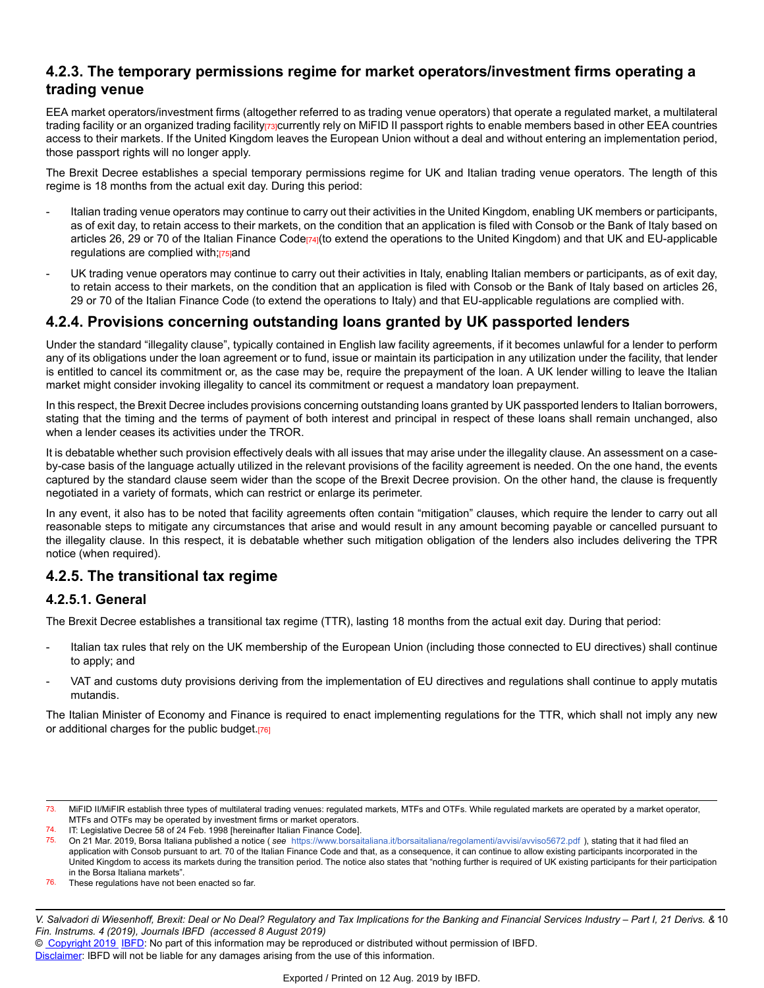### **4.2.3. The temporary permissions regime for market operators/investment firms operating a trading venue**

EEA market operators/investment firms (altogether referred to as trading venue operators) that operate a regulated market, a multilateral trading facility or an organized trading facility racurrently rely on MiFID II passport rights to enable members based in other EEA countries access to their markets. If the United Kingdom leaves the European Union without a deal and without entering an implementation period, those passport rights will no longer apply.

The Brexit Decree establishes a special temporary permissions regime for UK and Italian trading venue operators. The length of this regime is 18 months from the actual exit day. During this period:

- Italian trading venue operators may continue to carry out their activities in the United Kingdom, enabling UK members or participants, as of exit day, to retain access to their markets, on the condition that an application is filed with Consob or the Bank of Italy based on articles 26, 29 or 70 of the Italian Finance Code<sub>[74]</sub>(to extend the operations to the United Kingdom) and that UK and EU-applicable regulations are complied with;[75]and
- UK trading venue operators may continue to carry out their activities in Italy, enabling Italian members or participants, as of exit day, to retain access to their markets, on the condition that an application is filed with Consob or the Bank of Italy based on articles 26, 29 or 70 of the Italian Finance Code (to extend the operations to Italy) and that EU-applicable regulations are complied with.

## **4.2.4. Provisions concerning outstanding loans granted by UK passported lenders**

Under the standard "illegality clause", typically contained in English law facility agreements, if it becomes unlawful for a lender to perform any of its obligations under the loan agreement or to fund, issue or maintain its participation in any utilization under the facility, that lender is entitled to cancel its commitment or, as the case may be, require the prepayment of the loan. A UK lender willing to leave the Italian market might consider invoking illegality to cancel its commitment or request a mandatory loan prepayment.

In this respect, the Brexit Decree includes provisions concerning outstanding loans granted by UK passported lenders to Italian borrowers, stating that the timing and the terms of payment of both interest and principal in respect of these loans shall remain unchanged, also when a lender ceases its activities under the TROR.

It is debatable whether such provision effectively deals with all issues that may arise under the illegality clause. An assessment on a caseby-case basis of the language actually utilized in the relevant provisions of the facility agreement is needed. On the one hand, the events captured by the standard clause seem wider than the scope of the Brexit Decree provision. On the other hand, the clause is frequently negotiated in a variety of formats, which can restrict or enlarge its perimeter.

In any event, it also has to be noted that facility agreements often contain "mitigation" clauses, which require the lender to carry out all reasonable steps to mitigate any circumstances that arise and would result in any amount becoming payable or cancelled pursuant to the illegality clause. In this respect, it is debatable whether such mitigation obligation of the lenders also includes delivering the TPR notice (when required).

### **4.2.5. The transitional tax regime**

#### **4.2.5.1. General**

The Brexit Decree establishes a transitional tax regime (TTR), lasting 18 months from the actual exit day. During that period:

- Italian tax rules that rely on the UK membership of the European Union (including those connected to EU directives) shall continue to apply; and
- VAT and customs duty provisions deriving from the implementation of EU directives and regulations shall continue to apply mutatis mutandis.

The Italian Minister of Economy and Finance is required to enact implementing regulations for the TTR, which shall not imply any new or additional charges for the public budget.[76]

- 73. MiFID II/MiFIR establish three types of multilateral trading venues: regulated markets, MTFs and OTFs. While regulated markets are operated by a market operator, MTFs and OTFs may be operated by investment firms or market operators.
- 74. IT: Legislative Decree 58 of 24 Feb. 1998 [hereinafter Italian Finance Code].<br>75. On 21 Mar 2019, Borsa Italiana published a notice (see https://www.borsai
- 75. On 21 Mar. 2019, Borsa Italiana published a notice ( *see* [https://www.borsaitaliana.it/borsaitaliana/regolamenti/avvisi/avviso5672.pd](https://www.borsaitaliana.it/borsaitaliana/regolamenti/avvisi/avviso5672.pdf)f ), stating that it had filed an application with Consob pursuant to art. 70 of the Italian Finance Code and that, as a consequence, it can continue to allow existing participants incorporated in the United Kingdom to access its markets during the transition period. The notice also states that "nothing further is required of UK existing participants for their participation in the Borsa Italiana markets".
- 76. These regulations have not been enacted so far.

V. Salvadori di Wiesenhoff, Brexit: Deal or No Deal? Regulatory and Tax Implications for the Banking and Financial Services Industry – Part I, 21 Derivs. & 10 *Fin. Instrums. 4 (2019), Journals IBFD (accessed 8 August 2019)*

© [Copyright 2019](http://www.ibfd.org/Copyright-IBFD) [IBFD:](http://www.ibfd.org) No part of this information may be reproduced or distributed without permission of IBFD.